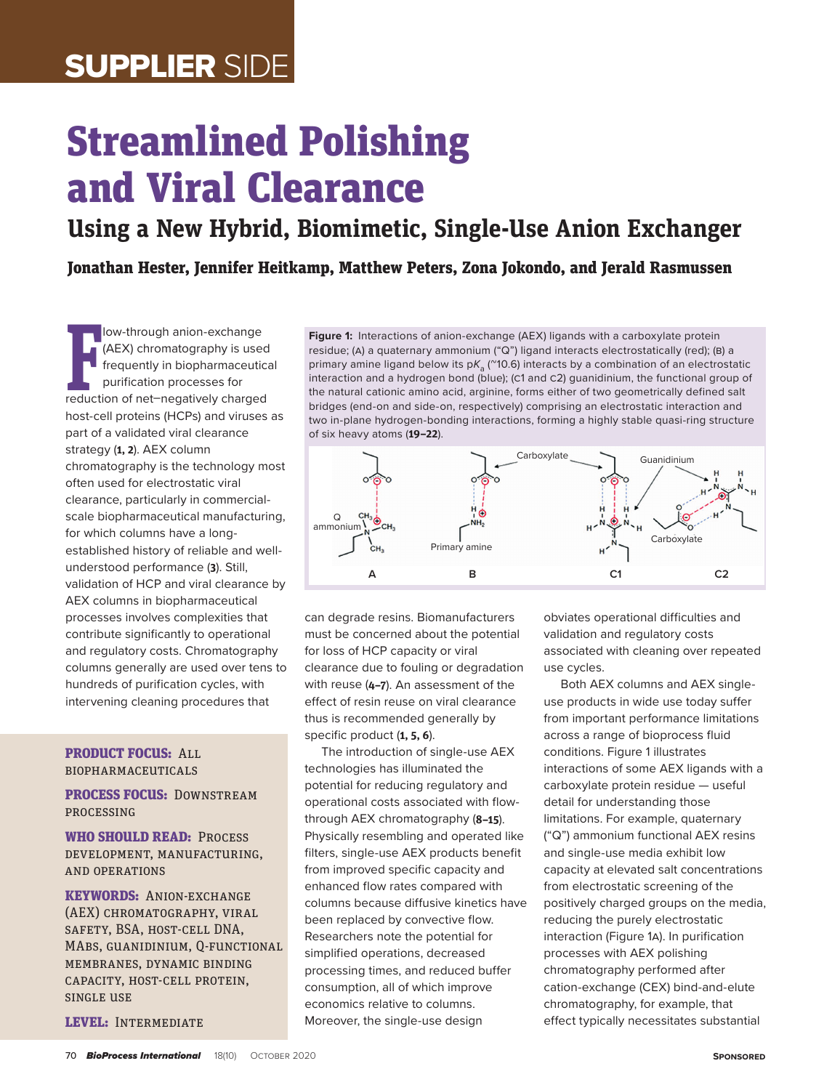# SUPPLIER SIDE

# Streamlined Polishing and Viral Clearance

**Using a New Hybrid, Biomimetic, Single-Use Anion Exchanger**

Jonathan Hester, Jennifer Heitkamp, Matthew Peters, Zona Jokondo, and Jerald Rasmussen

**F** (AEX) chromatography is used<br>frequently in biopharmaceutica<br>purification processes for<br>reduction of net–negatively charged low-through anion-exchange (AEX) chromatography is used frequently in biopharmaceutical purification processes for host-cell proteins (HCPs) and viruses as part of a validated viral clearance strategy (**1, 2**). AEX column chromatography is the technology most often used for electrostatic viral clearance, particularly in commercialscale biopharmaceutical manufacturing, for which columns have a longestablished history of reliable and wellunderstood performance (**3**). Still, validation of HCP and viral clearance by AEX columns in biopharmaceutical processes involves complexities that contribute significantly to operational and regulatory costs. Chromatography columns generally are used over tens to hundreds of purification cycles, with intervening cleaning procedures that

#### PRODUCT FOCUS: ALL biopharmaceuticals

#### PROCESS FOCUS: DOWNSTREAM processing

WHO SHOULD READ: PROCESS development, manufacturing, and operations

KEYWORDS: Anion-exchange (AEX) CHROMATOGRAPHY, VIRAL SAFETY, BSA, HOST-CELL DNA, MAbs, guanidinium, Q-functional membranes, dynamic binding capacity, host-cell protein, single use

LEVEL: INTERMEDIATE

**Figure 1:** Interactions of anion-exchange (AEX) ligands with a carboxylate protein residue; (A) a quaternary ammonium ("Q") ligand interacts electrostatically (red); (B) a primary amine ligand below its  $pK_a$  ( $m$ 10.6) interacts by a combination of an electrostatic interaction and a hydrogen bond (blue); (c1 and c2) guanidinium, the functional group of the natural cationic amino acid, arginine, forms either of two geometrically defined salt bridges (end-on and side-on, respectively) comprising an electrostatic interaction and two in-plane hydrogen-bonding interactions, forming a highly stable quasi-ring structure of six heavy atoms (**19–22**).



can degrade resins. Biomanufacturers must be concerned about the potential for loss of HCP capacity or viral clearance due to fouling or degradation with reuse (**4–7**). An assessment of the effect of resin reuse on viral clearance thus is recommended generally by specific product (**1, 5, 6**).

The introduction of single-use AEX technologies has illuminated the potential for reducing regulatory and operational costs associated with flowthrough AEX chromatography (**8–15**). Physically resembling and operated like filters, single-use AEX products benefit from improved specific capacity and enhanced flow rates compared with columns because diffusive kinetics have been replaced by convective flow. Researchers note the potential for simplified operations, decreased processing times, and reduced buffer consumption, all of which improve economics relative to columns. Moreover, the single-use design

obviates operational difficulties and validation and regulatory costs associated with cleaning over repeated use cycles.

Both AEX columns and AEX singleuse products in wide use today suffer from important performance limitations across a range of bioprocess fluid conditions. Figure 1 illustrates interactions of some AEX ligands with a carboxylate protein residue — useful detail for understanding those limitations. For example, quaternary ("Q") ammonium functional AEX resins and single-use media exhibit low capacity at elevated salt concentrations from electrostatic screening of the positively charged groups on the media, reducing the purely electrostatic interaction (Figure 1a). In purification processes with AEX polishing chromatography performed after cation-exchange (CEX) bind-and-elute chromatography, for example, that effect typically necessitates substantial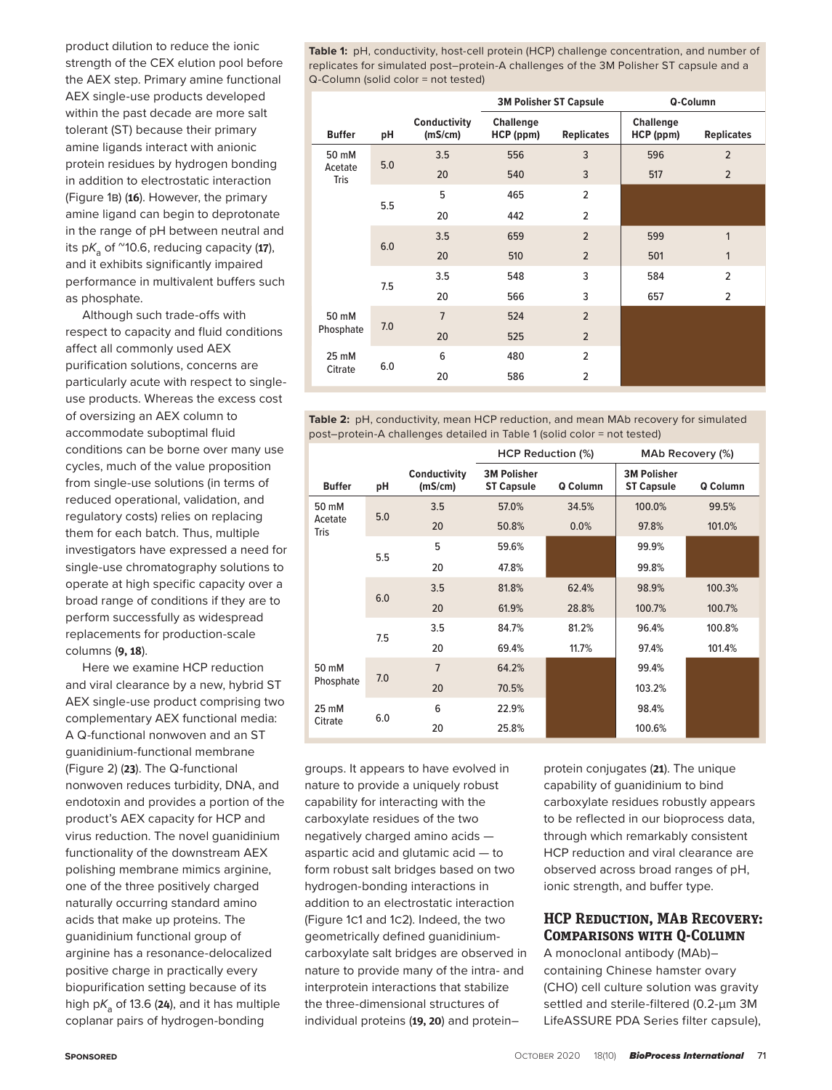product dilution to reduce the ionic strength of the CEX elution pool before the AEX step. Primary amine functional AEX single-use products developed within the past decade are more salt tolerant (ST) because their primary amine ligands interact with anionic protein residues by hydrogen bonding in addition to electrostatic interaction (Figure 1b) (**16**). However, the primary amine ligand can begin to deprotonate in the range of pH between neutral and its  $pK_a$  of  $\sim$ 10.6, reducing capacity (17), and it exhibits significantly impaired performance in multivalent buffers such as phosphate.

Although such trade-offs with respect to capacity and fluid conditions affect all commonly used AEX purification solutions, concerns are particularly acute with respect to singleuse products. Whereas the excess cost of oversizing an AEX column to accommodate suboptimal fluid conditions can be borne over many use cycles, much of the value proposition from single-use solutions (in terms of reduced operational, validation, and regulatory costs) relies on replacing them for each batch. Thus, multiple investigators have expressed a need for single-use chromatography solutions to operate at high specific capacity over a broad range of conditions if they are to perform successfully as widespread replacements for production-scale columns (**9, 18**).

Here we examine HCP reduction and viral clearance by a new, hybrid ST AEX single-use product comprising two complementary AEX functional media: A Q-functional nonwoven and an ST guanidinium-functional membrane (Figure 2) (**23**). The Q-functional nonwoven reduces turbidity, DNA, and endotoxin and provides a portion of the product's AEX capacity for HCP and virus reduction. The novel guanidinium functionality of the downstream AEX polishing membrane mimics arginine, one of the three positively charged naturally occurring standard amino acids that make up proteins. The guanidinium functional group of arginine has a resonance-delocalized positive charge in practically every biopurification setting because of its high  $pK_a$  of 13.6 (24), and it has multiple coplanar pairs of hydrogen-bonding

**Table 1:** pH, conductivity, host-cell protein (HCP) challenge concentration, and number of replicates for simulated post–protein-A challenges of the 3M Polisher ST capsule and a Q-Column (solid color = not tested)

|                 |     |                         |                               | <b>3M Polisher ST Capsule</b> |                        | Q-Column          |
|-----------------|-----|-------------------------|-------------------------------|-------------------------------|------------------------|-------------------|
| <b>Buffer</b>   | рH  | Conductivity<br>(mS/cm) | <b>Challenge</b><br>HCP (ppm) | <b>Replicates</b>             | Challenge<br>HCP (ppm) | <b>Replicates</b> |
| 50 mM           |     | 3.5                     | 556                           | 3                             | 596                    | $\overline{2}$    |
| Acetate<br>Tris | 5.0 | 20                      | 540                           | 3                             | 517                    | $\overline{2}$    |
|                 |     | 5                       | 465                           | $\overline{2}$                |                        |                   |
|                 | 5.5 | 20                      | 442                           | $\overline{2}$                |                        |                   |
|                 | 6.0 | 3.5                     | 659                           | $\overline{2}$                | 599                    | 1                 |
|                 |     | 20                      | 510                           | $\overline{2}$                | 501                    | 1                 |
|                 |     | 3.5                     | 548                           | 3                             | 584                    | $\overline{2}$    |
|                 | 7.5 | 20                      | 566                           | 3                             | 657                    | $\overline{2}$    |
| 50 mM           |     | $\overline{7}$          | 524                           | $\overline{2}$                |                        |                   |
| Phosphate       | 7.0 | 20                      | 525                           | $\overline{2}$                |                        |                   |
| 25 mM           |     | 6                       | 480                           | $\overline{2}$                |                        |                   |
| Citrate         | 6.0 | 20                      | 586                           | $\overline{2}$                |                        |                   |
|                 |     |                         |                               |                               |                        |                   |

**Table 2:** pH, conductivity, mean HCP reduction, and mean MAb recovery for simulated post–protein-A challenges detailed in Table 1 (solid color = not tested)

|                 |     |                                | HCP Reduction (%)                       |          |                                         | MAb Recovery (%) |
|-----------------|-----|--------------------------------|-----------------------------------------|----------|-----------------------------------------|------------------|
| <b>Buffer</b>   | рH  | <b>Conductivity</b><br>(mS/cm) | <b>3M Polisher</b><br><b>ST Capsule</b> | Q Column | <b>3M Polisher</b><br><b>ST Capsule</b> | Q Column         |
| 50 mM           | 5.0 | 3.5                            | 57.0%                                   | 34.5%    | 100.0%                                  | 99.5%            |
| Acetate<br>Tris |     | 20                             | 50.8%                                   | 0.0%     | 97.8%                                   | 101.0%           |
|                 |     | 5                              | 59.6%                                   |          | 99.9%                                   |                  |
|                 | 5.5 | 20                             | 47.8%                                   |          | 99.8%                                   |                  |
|                 | 6.0 | 3.5                            | 81.8%                                   | 62.4%    | 98.9%                                   | 100.3%           |
|                 |     | 20                             | 61.9%                                   | 28.8%    | 100.7%                                  | 100.7%           |
|                 |     | 3.5                            | 84.7%                                   | 81.2%    | 96.4%                                   | 100.8%           |
|                 | 7.5 | 20                             | 69.4%                                   | 11.7%    | 97.4%                                   | 101.4%           |
| 50 mM           | 7.0 | $\overline{7}$                 | 64.2%                                   |          | 99.4%                                   |                  |
| Phosphate       |     | 20                             | 70.5%                                   |          | 103.2%                                  |                  |
| 25 mM           | 6.0 | 6                              | 22.9%                                   |          | 98.4%                                   |                  |
| Citrate         |     | 20                             | 25.8%                                   |          | 100.6%                                  |                  |

groups. It appears to have evolved in nature to provide a uniquely robust capability for interacting with the carboxylate residues of the two negatively charged amino acids aspartic acid and glutamic acid — to form robust salt bridges based on two hydrogen-bonding interactions in addition to an electrostatic interaction (Figure 1c1 and 1c2). Indeed, the two geometrically defined guanidiniumcarboxylate salt bridges are observed in nature to provide many of the intra- and interprotein interactions that stabilize the three-dimensional structures of individual proteins (**19, 20**) and protein–

protein conjugates (**21**). The unique capability of guanidinium to bind carboxylate residues robustly appears to be reflected in our bioprocess data, through which remarkably consistent HCP reduction and viral clearance are observed across broad ranges of pH, ionic strength, and buffer type.

# **HCP Reduction, MAb Recovery: Comparisons with Q-Column**

A monoclonal antibody (MAb)– containing Chinese hamster ovary (CHO) cell culture solution was gravity settled and sterile-filtered (0.2-µm 3M LifeASSURE PDA Series filter capsule),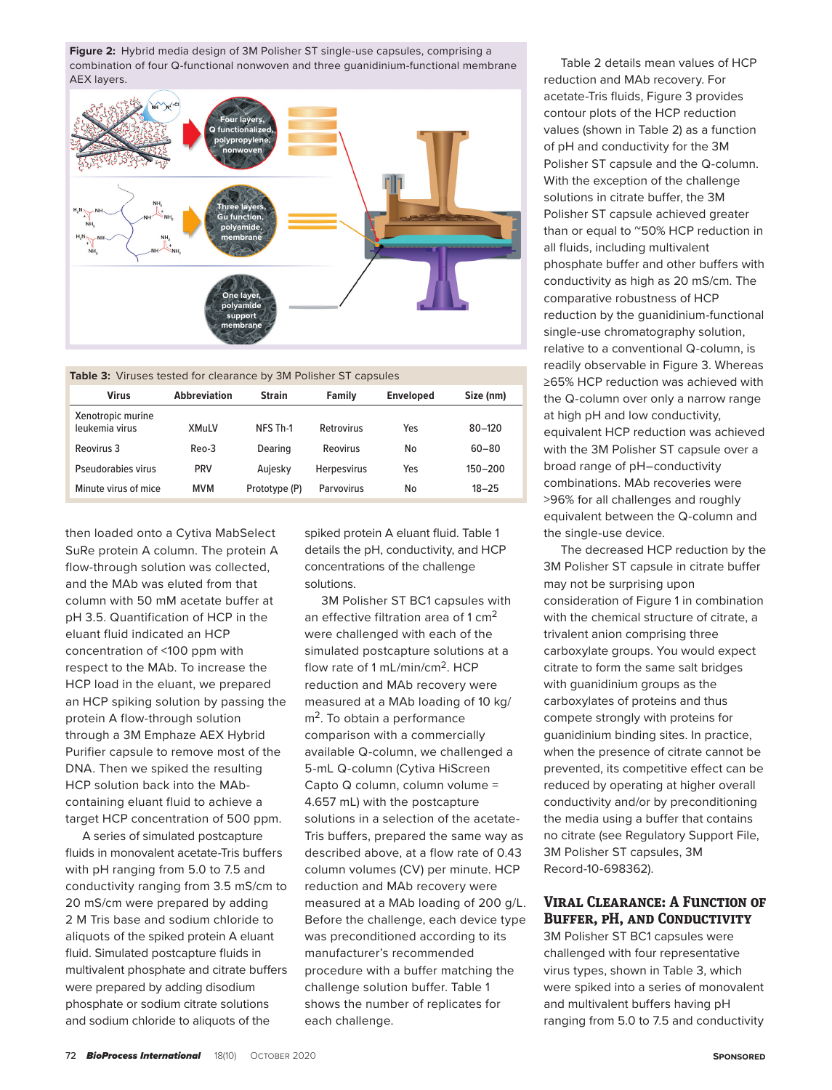**Figure 2:** Hybrid media design of 3M Polisher ST single-use capsules, comprising a combination of four Q-functional nonwoven and three guanidinium-functional membrane AEX layers.



| Table 3: Viruses tested for clearance by 3M Polisher ST capsules |  |
|------------------------------------------------------------------|--|
|------------------------------------------------------------------|--|

| <b>Virus</b>                        | <b>Abbreviation</b> | <b>Strain</b> | Family             | <b>Enveloped</b> | Size (nm)   |
|-------------------------------------|---------------------|---------------|--------------------|------------------|-------------|
| Xenotropic murine<br>leukemia virus | <b>XMuLV</b>        | NFS Th-1      | Retrovirus         | Yes              | $80 - 120$  |
| Reovirus 3                          | Reo-3               | Dearing       | Reovirus           | No               | $60 - 80$   |
| Pseudorabies virus                  | <b>PRV</b>          | Aujesky       | <b>Herpesvirus</b> | Yes              | $150 - 200$ |
| Minute virus of mice                | <b>MVM</b>          | Prototype (P) | Parvovirus         | No               | $18 - 25$   |

then loaded onto a Cytiva MabSelect SuRe protein A column. The protein A flow-through solution was collected, and the MAb was eluted from that column with 50 mM acetate buffer at pH 3.5. Quantification of HCP in the eluant fluid indicated an HCP concentration of <100 ppm with respect to the MAb. To increase the HCP load in the eluant, we prepared an HCP spiking solution by passing the protein A flow-through solution through a 3M Emphaze AEX Hybrid Purifier capsule to remove most of the DNA. Then we spiked the resulting HCP solution back into the MAbcontaining eluant fluid to achieve a target HCP concentration of 500 ppm.

A series of simulated postcapture fluids in monovalent acetate-Tris buffers with pH ranging from 5.0 to 7.5 and conductivity ranging from 3.5 mS/cm to 20 mS/cm were prepared by adding 2 M Tris base and sodium chloride to aliquots of the spiked protein A eluant fluid. Simulated postcapture fluids in multivalent phosphate and citrate buffers were prepared by adding disodium phosphate or sodium citrate solutions and sodium chloride to aliquots of the

spiked protein A eluant fluid. Table 1 details the pH, conductivity, and HCP concentrations of the challenge solutions.

3M Polisher ST BC1 capsules with an effective filtration area of 1 cm<sup>2</sup> were challenged with each of the simulated postcapture solutions at a flow rate of 1 mL/min/cm<sup>2</sup>. HCP reduction and MAb recovery were measured at a MAb loading of 10 kg/ m<sup>2</sup>. To obtain a performance comparison with a commercially available Q-column, we challenged a 5-mL Q-column (Cytiva HiScreen Capto Q column, column volume = 4.657 mL) with the postcapture solutions in a selection of the acetate-Tris buffers, prepared the same way as described above, at a flow rate of 0.43 column volumes (CV) per minute. HCP reduction and MAb recovery were measured at a MAb loading of 200 g/L. Before the challenge, each device type was preconditioned according to its manufacturer's recommended procedure with a buffer matching the challenge solution buffer. Table 1 shows the number of replicates for each challenge.

Table 2 details mean values of HCP reduction and MAb recovery. For acetate-Tris fluids, Figure 3 provides contour plots of the HCP reduction values (shown in Table 2) as a function of pH and conductivity for the 3M Polisher ST capsule and the Q-column. With the exception of the challenge solutions in citrate buffer, the 3M Polisher ST capsule achieved greater than or equal to ~50% HCP reduction in all fluids, including multivalent phosphate buffer and other buffers with conductivity as high as 20 mS/cm. The comparative robustness of HCP reduction by the guanidinium-functional single-use chromatography solution, relative to a conventional Q-column, is readily observable in Figure 3. Whereas ≥65% HCP reduction was achieved with the Q-column over only a narrow range at high pH and low conductivity, equivalent HCP reduction was achieved with the 3M Polisher ST capsule over a broad range of pH–conductivity combinations. MAb recoveries were >96% for all challenges and roughly equivalent between the Q-column and the single-use device.

The decreased HCP reduction by the 3M Polisher ST capsule in citrate buffer may not be surprising upon consideration of Figure 1 in combination with the chemical structure of citrate, a trivalent anion comprising three carboxylate groups. You would expect citrate to form the same salt bridges with guanidinium groups as the carboxylates of proteins and thus compete strongly with proteins for guanidinium binding sites. In practice, when the presence of citrate cannot be prevented, its competitive effect can be reduced by operating at higher overall conductivity and/or by preconditioning the media using a buffer that contains no citrate (see Regulatory Support File, 3M Polisher ST capsules, 3M Record-10-698362).

## **Viral Clearance: A Function of Buffer, pH, and Conductivity**

3M Polisher ST BC1 capsules were challenged with four representative virus types, shown in Table 3, which were spiked into a series of monovalent and multivalent buffers having pH ranging from 5.0 to 7.5 and conductivity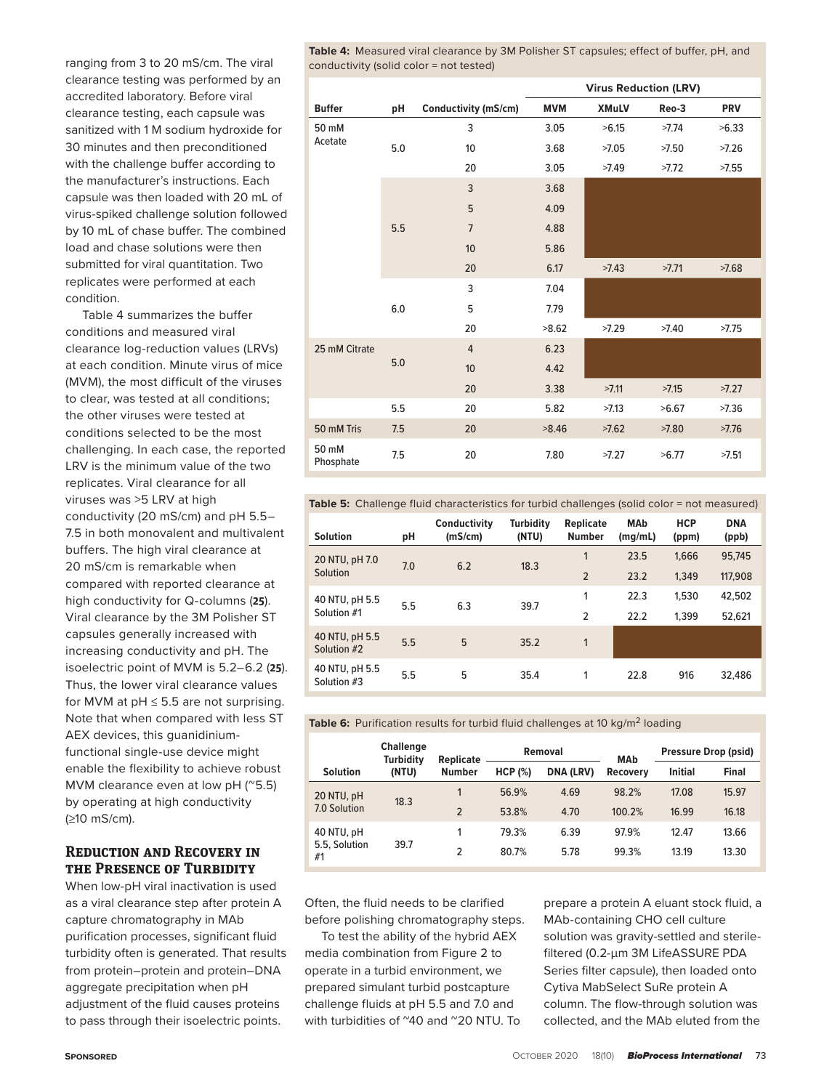**Table 4:** Measured viral clearance by 3M Polisher ST capsules; effect of buffer, pH, and conductivity (solid color = not tested)

ranging from 3 to 20 mS/cm. The viral clearance testing was performed by an accredited laboratory. Before viral clearance testing, each capsule was sanitized with 1 M sodium hydroxide for 30 minutes and then preconditioned with the challenge buffer according to the manufacturer's instructions. Each capsule was then loaded with 20 mL of virus-spiked challenge solution followed by 10 mL of chase buffer. The combined load and chase solutions were then submitted for viral quantitation. Two replicates were performed at each condition.

Table 4 summarizes the buffer conditions and measured viral clearance log-reduction values (LRVs) at each condition. Minute virus of mice (MVM), the most difficult of the viruses to clear, was tested at all conditions; the other viruses were tested at conditions selected to be the most challenging. In each case, the reported LRV is the minimum value of the two replicates. Viral clearance for all viruses was >5 LRV at high conductivity (20 mS/cm) and pH 5.5– 7.5 in both monovalent and multivalent buffers. The high viral clearance at 20 mS/cm is remarkable when compared with reported clearance at high conductivity for Q-columns (**25**). Viral clearance by the 3M Polisher ST capsules generally increased with increasing conductivity and pH. The isoelectric point of MVM is 5.2–6.2 (**25**). Thus, the lower viral clearance values for MVM at  $pH \leq 5.5$  are not surprising. Note that when compared with less ST AEX devices, this guanidiniumfunctional single-use device might enable the flexibility to achieve robust MVM clearance even at low pH (~5.5) by operating at high conductivity (≥10 mS/cm).

# **Reduction and Recovery in the Presence of Turbidity**

When low-pH viral inactivation is used as a viral clearance step after protein A capture chromatography in MAb purification processes, significant fluid turbidity often is generated. That results from protein–protein and protein–DNA aggregate precipitation when pH adjustment of the fluid causes proteins to pass through their isoelectric points.

|                    |     |                      |            | <b>Virus Reduction (LRV)</b> |       |            |
|--------------------|-----|----------------------|------------|------------------------------|-------|------------|
| <b>Buffer</b>      | pH  | Conductivity (mS/cm) | <b>MVM</b> | <b>XMuLV</b>                 | Reo-3 | <b>PRV</b> |
| 50 mM              |     | 3                    | 3.05       | >6.15                        | >7.74 | >6.33      |
| Acetate            | 5.0 | 10                   | 3.68       | >7.05                        | >7.50 | >7.26      |
|                    |     | 20                   | 3.05       | >7.49                        | >7.72 | >7.55      |
|                    |     | 3                    | 3.68       |                              |       |            |
|                    |     | 5                    | 4.09       |                              |       |            |
|                    | 5.5 | $\overline{7}$       | 4.88       |                              |       |            |
|                    |     | 10                   | 5.86       |                              |       |            |
|                    |     | 20                   | 6.17       | >7.43                        | >7.71 | >7.68      |
|                    |     | 3                    | 7.04       |                              |       |            |
|                    | 6.0 | 5                    | 7.79       |                              |       |            |
|                    |     | 20                   | >8.62      | >7.29                        | >7.40 | >7.75      |
| 25 mM Citrate      |     | $\overline{4}$       | 6.23       |                              |       |            |
|                    | 5.0 | 10                   | 4.42       |                              |       |            |
|                    |     | 20                   | 3.38       | >7.11                        | >7.15 | >7.27      |
|                    | 5.5 | 20                   | 5.82       | >7.13                        | >6.67 | >7.36      |
| 50 mM Tris         | 7.5 | 20                   | >8.46      | >7.62                        | >7.80 | >7.76      |
| 50 mM<br>Phosphate | 7.5 | 20                   | 7.80       | >7.27                        | >6.77 | >7.51      |

#### **Table 5:** Challenge fluid characteristics for turbid challenges (solid color = not measured)

| <b>Solution</b>               | pH  | Conductivity<br>(mS/cm) | Turbidity<br>(NTU) | <b>Replicate</b><br><b>Number</b> | <b>MAb</b><br>(mg/mL) | <b>HCP</b><br>(ppm) | <b>DNA</b><br>(ppb) |
|-------------------------------|-----|-------------------------|--------------------|-----------------------------------|-----------------------|---------------------|---------------------|
| 20 NTU, pH 7.0                | 7.0 | 6.2                     | 18.3               | 1                                 | 23.5                  | 1.666               | 95,745              |
| Solution                      |     |                         |                    | $\overline{2}$                    | 23.2                  | 1,349               | 117,908             |
| 40 NTU, pH 5.5                | 5.5 | 6.3                     | 39.7               | 1                                 | 22.3                  | 1,530               | 42,502              |
| Solution #1                   |     |                         |                    | $\overline{2}$                    | 22.2                  | 1.399               | 52,621              |
| 40 NTU, pH 5.5<br>Solution #2 | 5.5 | 5                       | 35.2               | 1                                 |                       |                     |                     |
| 40 NTU, pH 5.5<br>Solution #3 | 5.5 | 5                       | 35.4               | 1                                 | 22.8                  | 916                 | 32,486              |

**Table 6:** Purification results for turbid fluid challenges at 10 kg/m<sup>2</sup> loading

|                     | <b>Challenge</b><br><b>Turbidity</b> | Replicate      | Removal |                  | <b>MAb</b> | <b>Pressure Drop (psid)</b> |              |
|---------------------|--------------------------------------|----------------|---------|------------------|------------|-----------------------------|--------------|
| <b>Solution</b>     | (NTU)                                | <b>Number</b>  | HCP (%) | <b>DNA (LRV)</b> | Recovery   | Initial                     | <b>Final</b> |
| 20 NTU, pH          | 18.3<br>7.0 Solution                 |                | 56.9%   | 4.69             | 98.2%      | 17.08                       | 15.97        |
|                     |                                      | $\mathfrak{p}$ | 53.8%   | 4.70             | 100.2%     | 16.99                       | 16.18        |
| 40 NTU, pH          | 39.7                                 |                | 79.3%   | 6.39             | 97.9%      | 12.47                       | 13.66        |
| 5.5, Solution<br>#1 |                                      | 2              | 80.7%   | 5.78             | 99.3%      | 13.19                       | 13.30        |

Often, the fluid needs to be clarified before polishing chromatography steps.

To test the ability of the hybrid AEX media combination from Figure 2 to operate in a turbid environment, we prepared simulant turbid postcapture challenge fluids at pH 5.5 and 7.0 and with turbidities of ~40 and ~20 NTU. To prepare a protein A eluant stock fluid, a MAb-containing CHO cell culture solution was gravity-settled and sterilefiltered (0.2-µm 3M LifeASSURE PDA Series filter capsule), then loaded onto Cytiva MabSelect SuRe protein A column. The flow-through solution was collected, and the MAb eluted from the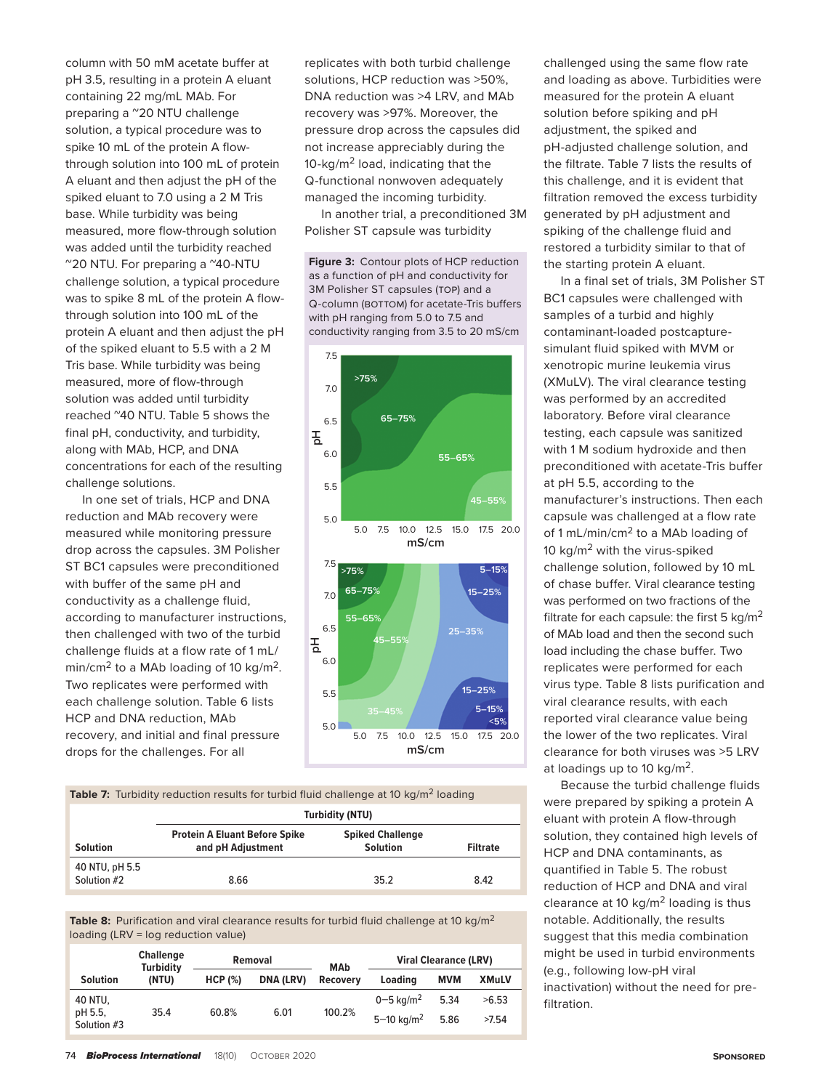column with 50 mM acetate buffer at pH 3.5, resulting in a protein A eluant containing 22 mg/mL MAb. For preparing a  $^{\circ}$ 20 NTU challenge solution, a typical procedure was to spike 10 mL of the protein A flowthrough solution into 100 mL of protein A eluant and then adjust the pH of the spiked eluant to 7.0 using a 2 M Tris base. While turbidity was being measured, more flow-through solution was added until the turbidity reached ~20 NTU. For preparing a ~40-NTU challenge solution, a typical procedure was to spike 8 mL of the protein A flowthrough solution into 100 mL of the protein A eluant and then adjust the pH of the spiked eluant to 5.5 with a 2 M Tris base. While turbidity was being measured, more of flow-through solution was added until turbidity reached ~40 NTU. Table 5 shows the final pH, conductivity, and turbidity, along with MAb, HCP, and DNA concentrations for each of the resulting challenge solutions.

In one set of trials, HCP and DNA reduction and MAb recovery were measured while monitoring pressure drop across the capsules. 3M Polisher ST BC1 capsules were preconditioned with buffer of the same pH and conductivity as a challenge fluid, according to manufacturer instructions, then challenged with two of the turbid challenge fluids at a flow rate of 1 mL/ min/cm<sup>2</sup> to a MAb loading of 10 kg/m<sup>2</sup>. Two replicates were performed with each challenge solution. Table 6 lists HCP and DNA reduction, MAb recovery, and initial and final pressure drops for the challenges. For all

replicates with both turbid challenge solutions, HCP reduction was >50%, DNA reduction was >4 LRV, and MAb recovery was >97%. Moreover, the pressure drop across the capsules did not increase appreciably during the 10-kg/m<sup>2</sup> load, indicating that the Q-functional nonwoven adequately managed the incoming turbidity.

In another trial, a preconditioned 3M Polisher ST capsule was turbidity

**Figure 3:** Contour plots of HCP reduction as a function of pH and conductivity for 3M Polisher ST capsules (TOP) and a Q-column (BOTTOM) for acetate-Tris buffers with pH ranging from 5.0 to 7.5 and conductivity ranging from 3.5 to 20 mS/cm





**Table 8:** Purification and viral clearance results for turbid fluid challenge at 10 kg/m<sup>2</sup> loading (LRV = log reduction value)

|                        | <b>Challenge</b><br><b>Turbidity</b> |         | Removal          |                               | <b>Viral Clearance (LRV)</b> |      |              |
|------------------------|--------------------------------------|---------|------------------|-------------------------------|------------------------------|------|--------------|
| <b>Solution</b>        | (NTU)                                | HCP (%) | <b>DNA (LRV)</b> | <b>MAb</b><br><b>Recoverv</b> | Loading                      | MVM  | <b>XMuLV</b> |
| 40 NTU.                |                                      |         |                  |                               | $0 - 5$ kg/m <sup>2</sup>    | 5.34 | >6.53        |
| pH 5.5.<br>Solution #3 | 35.4                                 | 60.8%   | 6.01             | 100.2%                        | $5 - 10 \text{ kg/m}^2$      | 5.86 | >7.54        |

challenged using the same flow rate and loading as above. Turbidities were measured for the protein A eluant solution before spiking and pH adjustment, the spiked and pH-adjusted challenge solution, and the filtrate. Table 7 lists the results of this challenge, and it is evident that filtration removed the excess turbidity generated by pH adjustment and spiking of the challenge fluid and restored a turbidity similar to that of the starting protein A eluant.

In a final set of trials, 3M Polisher ST BC1 capsules were challenged with samples of a turbid and highly contaminant-loaded postcapturesimulant fluid spiked with MVM or xenotropic murine leukemia virus (XMuLV). The viral clearance testing was performed by an accredited laboratory. Before viral clearance testing, each capsule was sanitized with 1 M sodium hydroxide and then preconditioned with acetate-Tris buffer at pH 5.5, according to the manufacturer's instructions. Then each capsule was challenged at a flow rate of 1 mL/min/cm<sup>2</sup> to a MAb loading of 10  $kg/m<sup>2</sup>$  with the virus-spiked challenge solution, followed by 10 mL of chase buffer. Viral clearance testing was performed on two fractions of the filtrate for each capsule: the first 5  $kg/m<sup>2</sup>$ of MAb load and then the second such load including the chase buffer. Two replicates were performed for each virus type. Table 8 lists purification and viral clearance results, with each reported viral clearance value being the lower of the two replicates. Viral clearance for both viruses was >5 LRV at loadings up to 10 kg/m2.

Because the turbid challenge fluids were prepared by spiking a protein A eluant with protein A flow-through solution, they contained high levels of HCP and DNA contaminants, as quantified in Table 5. The robust reduction of HCP and DNA and viral clearance at 10  $kg/m<sup>2</sup>$  loading is thus notable. Additionally, the results suggest that this media combination might be used in turbid environments (e.g., following low-pH viral inactivation) without the need for prefiltration.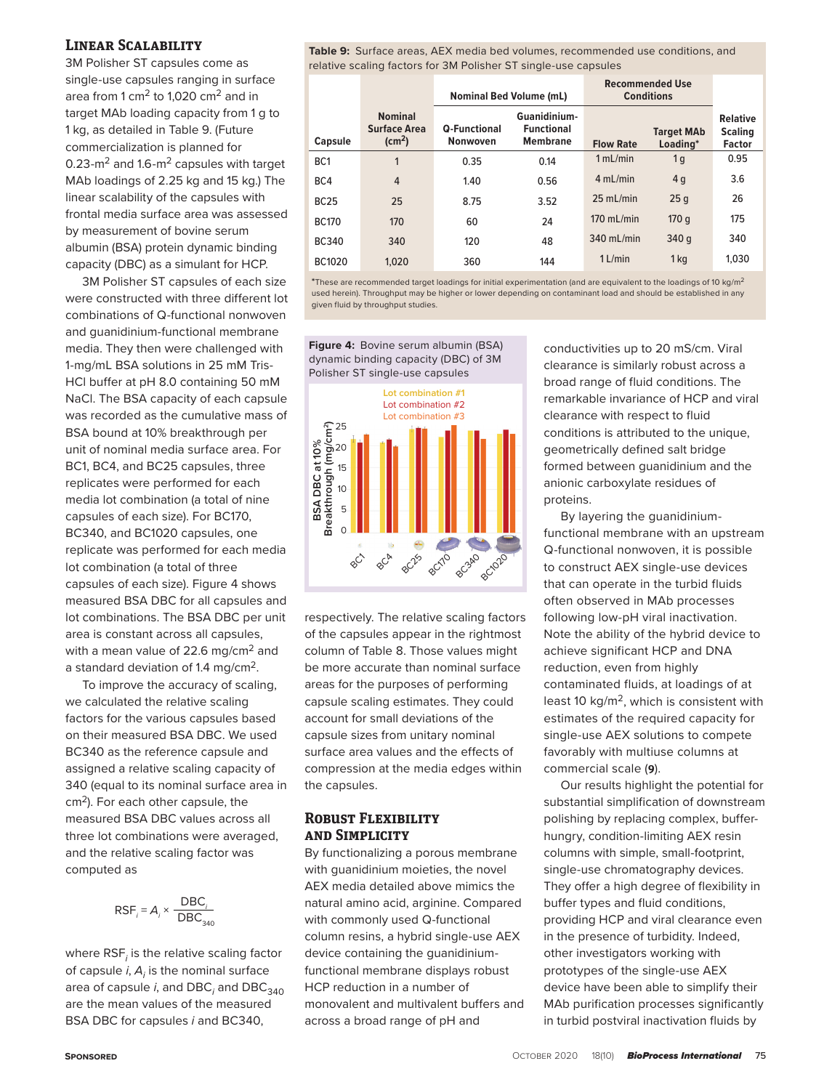## **Linear Scalability**

3M Polisher ST capsules come as single-use capsules ranging in surface area from 1 cm<sup>2</sup> to 1,020 cm<sup>2</sup> and in target MAb loading capacity from 1 g to 1 kg, as detailed in Table 9. (Future commercialization is planned for 0.23- $\text{m}^2$  and 1.6- $\text{m}^2$  capsules with target MAb loadings of 2.25 kg and 15 kg.) The linear scalability of the capsules with frontal media surface area was assessed by measurement of bovine serum albumin (BSA) protein dynamic binding capacity (DBC) as a simulant for HCP.

3M Polisher ST capsules of each size were constructed with three different lot combinations of Q-functional nonwoven and guanidinium-functional membrane media. They then were challenged with 1-mg/mL BSA solutions in 25 mM Tris-HCl buffer at pH 8.0 containing 50 mM NaCl. The BSA capacity of each capsule was recorded as the cumulative mass of BSA bound at 10% breakthrough per unit of nominal media surface area. For BC1, BC4, and BC25 capsules, three replicates were performed for each media lot combination (a total of nine capsules of each size). For BC170, BC340, and BC1020 capsules, one replicate was performed for each media lot combination (a total of three capsules of each size). Figure 4 shows measured BSA DBC for all capsules and lot combinations. The BSA DBC per unit area is constant across all capsules, with a mean value of 22.6 mg/cm<sup>2</sup> and a standard deviation of 1.4 mg/cm2.

To improve the accuracy of scaling, we calculated the relative scaling factors for the various capsules based on their measured BSA DBC. We used BC340 as the reference capsule and assigned a relative scaling capacity of 340 (equal to its nominal surface area in cm<sup>2</sup>). For each other capsule, the measured BSA DBC values across all three lot combinations were averaged, and the relative scaling factor was computed as

$$
\mathsf{RSF}_i = \mathsf{A}_i \times \frac{\mathsf{DBC}_i}{\mathsf{DBC}_{340}}
$$

where RSF*<sup>i</sup>* is the relative scaling factor of capsule  $i$ ,  $A_j$  is the nominal surface area of capsule *i*, and DBC<sub>i</sub> and DBC<sub>340</sub> are the mean values of the measured BSA DBC for capsules *i* and BC340,

**Table 9:** Surface areas, AEX media bed volumes, recommended use conditions, and relative scaling factors for 3M Polisher ST single-use capsules

|                 |                                                                 | <b>Nominal Bed Volume (mL)</b>         |                                                      | <b>Recommended Use</b><br><b>Conditions</b> |                               |                                                    |
|-----------------|-----------------------------------------------------------------|----------------------------------------|------------------------------------------------------|---------------------------------------------|-------------------------------|----------------------------------------------------|
| Capsule         | <b>Nominal</b><br><b>Surface Area</b><br>$\text{(cm}^2\text{)}$ | <b>Q-Functional</b><br><b>Nonwoven</b> | Guanidinium-<br><b>Functional</b><br><b>Membrane</b> | <b>Flow Rate</b>                            | <b>Target MAb</b><br>Loading* | <b>Relative</b><br><b>Scaling</b><br><b>Factor</b> |
| BC <sub>1</sub> | 1                                                               | 0.35                                   | 0.14                                                 | 1 mL/min                                    | 1 <sub>q</sub>                | 0.95                                               |
| BC4             | $\overline{4}$                                                  | 1.40                                   | 0.56                                                 | 4 mL/min                                    | 4 <sub>q</sub>                | 3.6                                                |
| <b>BC25</b>     | 25                                                              | 8.75                                   | 3.52                                                 | $25$ mL/min                                 | 25q                           | 26                                                 |
| <b>BC170</b>    | 170                                                             | 60                                     | 24                                                   | $170$ mL/min                                | 170q                          | 175                                                |
| <b>BC340</b>    | 340                                                             | 120                                    | 48                                                   | $340$ mL/min                                | 340 g                         | 340                                                |
| <b>BC1020</b>   | 1.020                                                           | 360                                    | 144                                                  | $1$ L/min                                   | 1 <sub>kq</sub>               | 1.030                                              |

**\***These are recommended target loadings for initial experimentation (and are equivalent to the loadings of 10 kg/m<sup>2</sup> used herein). Throughput may be higher or lower depending on contaminant load and should be established in any given fluid by throughput studies.



respectively. The relative scaling factors of the capsules appear in the rightmost column of Table 8. Those values might be more accurate than nominal surface areas for the purposes of performing capsule scaling estimates. They could account for small deviations of the capsule sizes from unitary nominal surface area values and the effects of compression at the media edges within the capsules.

# **Robust Flexibility and Simplicity**

By functionalizing a porous membrane with guanidinium moieties, the novel AEX media detailed above mimics the natural amino acid, arginine. Compared with commonly used Q-functional column resins, a hybrid single-use AEX device containing the guanidiniumfunctional membrane displays robust HCP reduction in a number of monovalent and multivalent buffers and across a broad range of pH and

conductivities up to 20 mS/cm. Viral clearance is similarly robust across a broad range of fluid conditions. The remarkable invariance of HCP and viral clearance with respect to fluid conditions is attributed to the unique, geometrically defined salt bridge formed between guanidinium and the anionic carboxylate residues of proteins.

By layering the guanidiniumfunctional membrane with an upstream Q-functional nonwoven, it is possible to construct AEX single-use devices that can operate in the turbid fluids often observed in MAb processes following low-pH viral inactivation. Note the ability of the hybrid device to achieve significant HCP and DNA reduction, even from highly contaminated fluids, at loadings of at least 10 kg/m<sup>2</sup>, which is consistent with estimates of the required capacity for single-use AEX solutions to compete favorably with multiuse columns at commercial scale (**9**).

Our results highlight the potential for substantial simplification of downstream polishing by replacing complex, bufferhungry, condition-limiting AEX resin columns with simple, small-footprint, single-use chromatography devices. They offer a high degree of flexibility in buffer types and fluid conditions, providing HCP and viral clearance even in the presence of turbidity. Indeed, other investigators working with prototypes of the single-use AEX device have been able to simplify their MAb purification processes significantly in turbid postviral inactivation fluids by